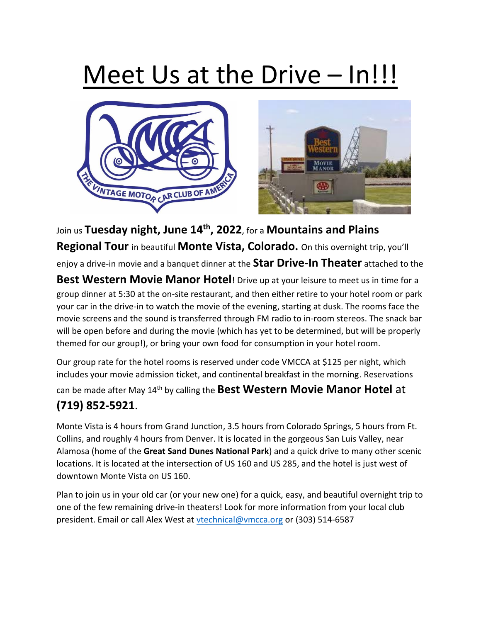## Meet Us at the Drive – In!!!





Join us **Tuesday night, June 14th, 2022**, for a **Mountains and Plains Regional Tour** in beautiful **Monte Vista, Colorado.** On this overnight trip, you'll enjoy a drive-in movie and a banquet dinner at the **Star Drive-In Theater** attached to the **Best Western Movie Manor Hotel**! Drive up at your leisure to meet us in time for a group dinner at 5:30 at the on-site restaurant, and then either retire to your hotel room or park your car in the drive-in to watch the movie of the evening, starting at dusk. The rooms face the movie screens and the sound is transferred through FM radio to in-room stereos. The snack bar will be open before and during the movie (which has yet to be determined, but will be properly themed for our group!), or bring your own food for consumption in your hotel room.

Our group rate for the hotel rooms is reserved under code VMCCA at \$125 per night, which includes your movie admission ticket, and continental breakfast in the morning. Reservations can be made after May 14<sup>th</sup> by calling the **Best Western Movie Manor Hotel** at

## **(719) 852-5921**.

Monte Vista is 4 hours from Grand Junction, 3.5 hours from Colorado Springs, 5 hours from Ft. Collins, and roughly 4 hours from Denver. It is located in the gorgeous San Luis Valley, near Alamosa (home of the **Great Sand Dunes National Park**) and a quick drive to many other scenic locations. It is located at the intersection of US 160 and US 285, and the hotel is just west of downtown Monte Vista on US 160.

Plan to join us in your old car (or your new one) for a quick, easy, and beautiful overnight trip to one of the few remaining drive-in theaters! Look for more information from your local club president. Email or call Alex West at [vtechnical@vmcca.org](mailto:vtechnical@vmcca.org) or (303) 514-6587